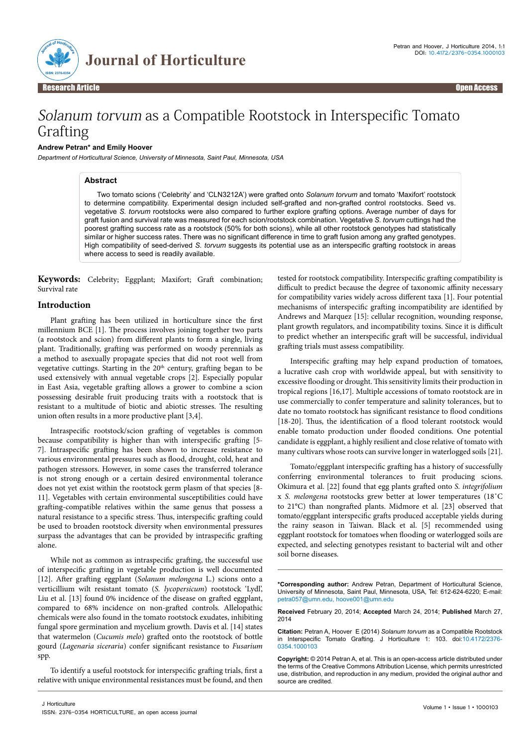

# Solanum torvum as a Compatible Rootstock in Interspecific Tomato Grafting

### **Andrew Petran\* and Emily Hoover**

*Department of Horticultural Science, University of Minnesota, Saint Paul, Minnesota, USA*

## **Abstract**

Two tomato scions ('Celebrity' and 'CLN3212A') were grafted onto *Solanum torvum* and tomato 'Maxifort' rootstock to determine compatibility. Experimental design included self-grafted and non-grafted control rootstocks. Seed vs. vegetative *S. torvum* rootstocks were also compared to further explore grafting options. Average number of days for graft fusion and survival rate was measured for each scion/rootstock combination. Vegetative *S. torvum* cuttings had the poorest grafting success rate as a rootstock (50% for both scions), while all other rootstock genotypes had statistically similar or higher success rates. There was no significant difference in time to graft fusion among any grafted genotypes. High compatibility of seed-derived *S. torvum* suggests its potential use as an interspecific grafting rootstock in areas where access to seed is readily available.

**Keywords:** Celebrity; Eggplant; Maxifort; Graft combination; Survival rate

# **Introduction**

Plant grafting has been utilized in horticulture since the first millennium BCE [1]. The process involves joining together two parts (a rootstock and scion) from different plants to form a single, living plant. Traditionally, grafting was performed on woody perennials as a method to asexually propagate species that did not root well from vegetative cuttings. Starting in the 20<sup>th</sup> century, grafting began to be used extensively with annual vegetable crops [2]. Especially popular in East Asia, vegetable grafting allows a grower to combine a scion possessing desirable fruit producing traits with a rootstock that is resistant to a multitude of biotic and abiotic stresses. The resulting union often results in a more productive plant [3,4].

Intraspecific rootstock/scion grafting of vegetables is common because compatibility is higher than with interspecific grafting [5- 7]. Intraspecific grafting has been shown to increase resistance to various environmental pressures such as flood, drought, cold, heat and pathogen stressors. However, in some cases the transferred tolerance is not strong enough or a certain desired environmental tolerance does not yet exist within the rootstock germ plasm of that species [8- 11]. Vegetables with certain environmental susceptibilities could have grafting-compatible relatives within the same genus that possess a natural resistance to a specific stress. Thus, interspecific grafting could be used to broaden rootstock diversity when environmental pressures surpass the advantages that can be provided by intraspecific grafting alone.

While not as common as intraspecific grafting, the successful use of interspecific grafting in vegetable production is well documented [12]. After grafting eggplant (*Solanum melongena* L.) scions onto a verticillium wilt resistant tomato (*S. lycopersicum*) rootstock 'Lydl', Liu et al. [13] found 0% incidence of the disease on grafted eggplant, compared to 68% incidence on non-grafted controls. Allelopathic chemicals were also found in the tomato rootstock exudates, inhibiting fungal spore germination and mycelium growth. Davis et al. [14] states that watermelon (*Cucumis melo*) grafted onto the rootstock of bottle gourd (*Lagenaria siceraria*) confer significant resistance to *Fusarium* spp.

To identify a useful rootstock for interspecific grafting trials, first a relative with unique environmental resistances must be found, and then

tested for rootstock compatibility. Interspecific grafting compatibility is difficult to predict because the degree of taxonomic affinity necessary for compatibility varies widely across different taxa [1]. Four potential mechanisms of interspecific grafting incompatibility are identified by Andrews and Marquez [15]: cellular recognition, wounding response, plant growth regulators, and incompatibility toxins. Since it is difficult to predict whether an interspecific graft will be successful, individual grafting trials must assess compatibility.

Interspecific grafting may help expand production of tomatoes, a lucrative cash crop with worldwide appeal, but with sensitivity to excessive flooding or drought. This sensitivity limits their production in tropical regions [16,17]. Multiple accessions of tomato rootstock are in use commercially to confer temperature and salinity tolerances, but to date no tomato rootstock has significant resistance to flood conditions [18-20]. Thus, the identification of a flood tolerant rootstock would enable tomato production under flooded conditions. One potential candidate is eggplant, a highly resilient and close relative of tomato with many cultivars whose roots can survive longer in waterlogged soils [21].

Tomato/eggplant interspecific grafting has a history of successfully conferring environmental tolerances to fruit producing scions. Okimura et al. [22] found that egg plants grafted onto *S. integrifolium* x *S. melongena* rootstocks grew better at lower temperatures (18˚C to 21°C) than nongrafted plants. Midmore et al. [23] observed that tomato/eggplant interspecific grafts produced acceptable yields during the rainy season in Taiwan. Black et al. [5] recommended using eggplant rootstock for tomatoes when flooding or waterlogged soils are expected, and selecting genotypes resistant to bacterial wilt and other soil borne diseases.

**\*Corresponding author:** Andrew Petran, Department of Horticultural Science, University of Minnesota, Saint Paul, Minnesota, USA, Tel: 612-624-6220; E-mail: petra057@umn.edu, hoove001@umn.edu

**Received** February 20, 2014; **Accepted** March 24, 2014; **Published** March 27, 2014

**Citation:** Petran A, Hoover E (2014) *Solanum torvum* as a Compatible Rootstock in Interspecific Tomato Grafting. J Horticulture 1: 103. doi:10.4172/2376- 0354.1000103

**Copyright:** © 2014 Petran A, et al. This is an open-access article distributed under the terms of the Creative Commons Attribution License, which permits unrestricted use, distribution, and reproduction in any medium, provided the original author and source are credited.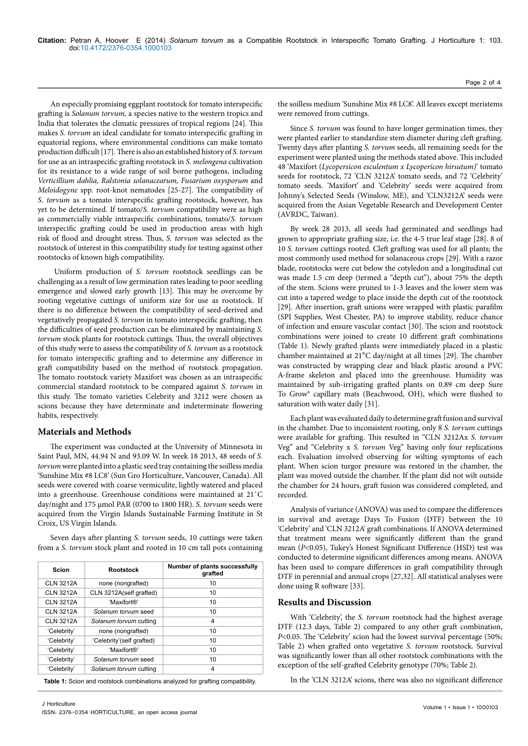An especially promising eggplant rootstock for tomato interspecific grafting is *Solanum torvum,* a species native to the western tropics and India that tolerates the climatic pressures of tropical regions [24]. This makes *S. torvum* an ideal candidate for tomato interspecific grafting in equatorial regions, where environmental conditions can make tomato production difficult [17]. There is also an established history of *S. torvum* for use as an intraspecific grafting rootstock in *S. melongena* cultivation for its resistance to a wide range of soil borne pathogens, including *Verticillium dahlia, Ralstonia solanacearum, Fusarium oxysporum* and *Meloidogyne* spp. root-knot nematodes [25-27]. The compatibility of *S. torvum* as a tomato interspecific grafting rootstock, however, has yet to be determined. If tomato/*S. torvum* compatibility were as high as commercially viable intraspecific combinations, tomato/*S. torvum*  interspecific grafting could be used in production areas with high risk of flood and drought stress. Thus, *S. torvum* was selected as the rootstock of interest in this compatibility study for testing against other rootstocks of known high compatibility.

 Uniform production of *S. torvum* rootstock seedlings can be challenging as a result of low germination rates leading to poor seedling emergence and slowed early growth [13]. This may be overcome by rooting vegetative cuttings of uniform size for use as rootstock. If there is no difference between the compatibility of seed-derived and vegetatively propagated *S. torvum* in tomato interspecific grafting, then the difficulties of seed production can be eliminated by maintaining *S. torvum* stock plants for rootstock cuttings. Thus, the overall objectives of this study were to assess the compatibility of *S. torvum* as a rootstock for tomato interspecific grafting and to determine any difference in graft compatibility based on the method of rootstock propagation. The tomato rootstock variety Maxifort was chosen as an intraspecific commercial standard rootstock to be compared against *S. torvum* in this study. The tomato varieties Celebrity and 3212 were chosen as scions because they have determinate and indeterminate flowering habits, respectively.

## **Materials and Methods**

The experiment was conducted at the University of Minnesota in Saint Paul, MN, 44.94 N and 93.09 W. In week 18 2013, 48 seeds of *S. torvum* were planted into a plastic seed tray containing the soilless media 'Sunshine Mix #8 LC8' (Sun Gro Horticulture, Vancouver, Canada). All seeds were covered with coarse vermiculite, lightly watered and placed into a greenhouse. Greenhouse conditions were maintained at 21˚C day/night and 175 μmol PAR (0700 to 1800 HR). *S. torvum* seeds were acquired from the Virgin Islands Sustainable Farming Institute in St Croix, US Virgin Islands.

Seven days after planting *S. torvum* seeds, 10 cuttings were taken from a *S. torvum* stock plant and rooted in 10 cm tall pots containing

| Scion            | <b>Rootstock</b>          | Number of plants successfully<br>grafted |  |
|------------------|---------------------------|------------------------------------------|--|
| <b>CLN 3212A</b> | none (nongrafted)         | 10                                       |  |
| <b>CLN 3212A</b> | CLN 3212A(self grafted)   | 10                                       |  |
| <b>CLN 3212A</b> | 'Maxifort®'               | 10                                       |  |
| <b>CLN 3212A</b> | Solanum torvum seed       | 10                                       |  |
| <b>CLN 3212A</b> | Solanum torvum cutting    | 4                                        |  |
| 'Celebrity'      | none (nongrafted)         | 10                                       |  |
| 'Celebrity'      | 'Celebrity'(self grafted) | 10                                       |  |
| 'Celebrity'      | 'Maxifort®'               | 10                                       |  |
| 'Celebrity'      | Solanum torvum seed       | 10                                       |  |
| 'Celebrity'      | Solanum torvum cutting    | 4                                        |  |

**Table 1:** Scion and rootstock combinations analyzed for grafting compatibility.

the soilless medium 'Sunshine Mix #8 LC8'. All leaves except meristems were removed from cuttings.

Since *S. torvum* was found to have longer germination times, they were planted earlier to standardize stem diameter during cleft grafting. Twenty days after planting *S. torvum* seeds, all remaining seeds for the experiment were planted using the methods stated above. This included 48 'Maxifort (*Lycopersicon esculentum x Lycopericon hirsutum)*' tomato seeds for rootstock, 72 'CLN 3212A' tomato seeds, and 72 'Celebrity' tomato seeds. 'Maxifort' and 'Celebrity' seeds were acquired from Johnny's Selected Seeds (Winslow, ME), and 'CLN3212A' seeds were acquired from the Asian Vegetable Research and Development Center (AVRDC, Taiwan).

By week 28 2013, all seeds had germinated and seedlings had grown to appropriate grafting size, i.e. the 4-5 true leaf stage [28]. 8 of 10 *S. torvum* cuttings rooted. Cleft grafting was used for all plants; the most commonly used method for solanaceous crops [29]. With a razor blade, rootstocks were cut below the cotyledon and a longitudinal cut was made 1.5 cm deep (termed a "depth cut"), about 75% the depth of the stem. Scions were pruned to 1-3 leaves and the lower stem was cut into a tapered wedge to place inside the depth cut of the rootstock [29]. After insertion, graft unions were wrapped with plastic parafilm (SPI Supplies, West Chester, PA) to improve stability, reduce chance of infection and ensure vascular contact [30]. The scion and rootstock combinations were joined to create 10 different graft combinations (Table 1). Newly grafted plants were immediately placed in a plastic chamber maintained at 21°C day/night at all times [29]. The chamber was constructed by wrapping clear and black plastic around a PVC A-frame skeleton and placed into the greenhouse. Humidity was maintained by sub-irrigating grafted plants on 0.89 cm deep Sure To Grow® capillary mats (Beachwood, OH), which were flushed to saturation with water daily [31].

Each plant was evaluated daily to determine graft fusion and survival in the chamber. Due to inconsistent rooting, only 8 *S. torvum* cuttings were available for grafting. This resulted in "CLN 3212Ax *S. torvum*  Veg" and "Celebrity x *S. torvum* Veg" having only four replications each. Evaluation involved observing for wilting symptoms of each plant. When scion turgor pressure was restored in the chamber, the plant was moved outside the chamber. If the plant did not wilt outside the chamber for 24 hours, graft fusion was considered completed, and recorded.

Analysis of variance (ANOVA) was used to compare the differences in survival and average Days To Fusion (DTF) between the 10 'Celebrity' and 'CLN 3212A' graft combinations. If ANOVA determined that treatment means were significantly different than the grand mean (*P*<0.05), Tukey's Honest Significant Difference (HSD) test was conducted to determine significant differences among means. ANOVA has been used to compare differences in graft compatibility through DTF in perennial and annual crops [27,32]. All statistical analyses were done using R software [33].

## **Results and Discussion**

With 'Celebrity', the *S. torvum* rootstock had the highest average DTF (12.3 days, Table 2) compared to any other graft combination, *P*<0.05. The 'Celebrity' scion had the lowest survival percentage (50%; Table 2) when grafted onto vegetative *S. torvum* rootstock. Survival was significantly lower than all other rootstock combinations with the exception of the self-grafted Celebrity genotype (70%; Table 2).

In the 'CLN 3212A' scions, there was also no significant difference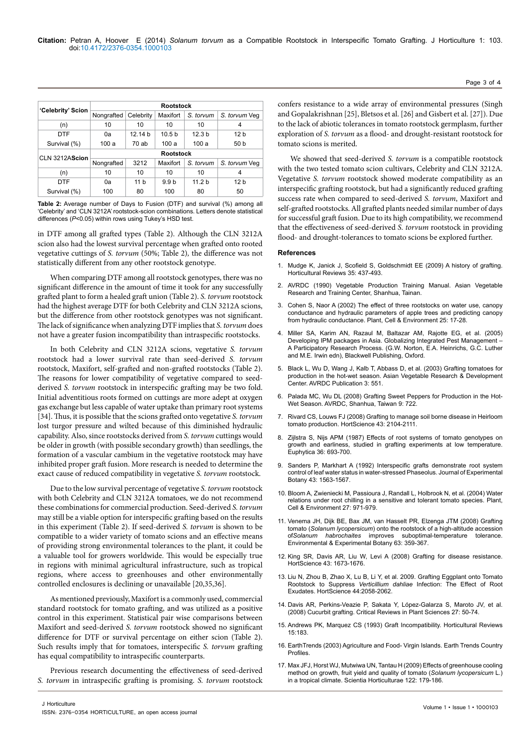|                   | <b>Rootstock</b> |                 |                   |                   |                 |  |
|-------------------|------------------|-----------------|-------------------|-------------------|-----------------|--|
| 'Celebrity' Scion | Nongrafted       | Celebrity       | Maxifort          | S. torvum         | S. torvum Veg   |  |
| (n)               | 10               | 10              | 10                | 10                | 4               |  |
| DTF               | 0a               | 12.14 b         | 10.5 <sub>b</sub> | 12.3 <sub>b</sub> | 12 <sub>b</sub> |  |
| Survival (%)      | 100 a            | 70 ab           | 100a              | 100a              | 50 b            |  |
| CLN 3212AScion    | <b>Rootstock</b> |                 |                   |                   |                 |  |
|                   | Nongrafted       | 3212            | Maxifort          | S. torvum         | S. torvum Veq   |  |
| (n)               | 10               | 10              | 10                | 10                | 4               |  |
| <b>DTF</b>        | 0a               | 11 <sub>b</sub> | 9.9 <sub>b</sub>  | 11.2 <sub>b</sub> | 12 <sub>b</sub> |  |
| Survival (%)      | 100              | 80              | 100               | 80                | 50              |  |

**Table 2:** Average number of Days to Fusion (DTF) and survival (%) among all 'Celebrity' and 'CLN 3212A' rootstock-scion combinations. Letters denote statistical differences (*P*<0.05) within rows using Tukey's HSD test.

in DTF among all grafted types (Table 2). Although the CLN 3212A scion also had the lowest survival percentage when grafted onto rooted vegetative cuttings of *S. torvum* (50%; Table 2)*,* the difference was not statistically different from any other rootstock genotype.

When comparing DTF among all rootstock genotypes, there was no significant difference in the amount of time it took for any successfully grafted plant to form a healed graft union (Table 2). *S. torvum* rootstock had the highest average DTF for both Celebrity and CLN 3212A scions, but the difference from other rootstock genotypes was not significant. The lack of significance when analyzing DTF implies that *S. torvum* does not have a greater fusion incompatibility than intraspecific rootstocks.

In both Celebrity and CLN 3212A scions, vegetative *S. torvum*  rootstock had a lower survival rate than seed-derived *S. torvum*  rootstock, Maxifort, self-grafted and non-grafted rootstocks (Table 2). The reasons for lower compatibility of vegetative compared to seedderived *S. torvum* rootstock in interspecific grafting may be two fold. Initial adventitious roots formed on cuttings are more adept at oxygen gas exchange but less capable of water uptake than primary root systems [34]. Thus, it is possible that the scions grafted onto vegetative *S. torvum*  lost turgor pressure and wilted because of this diminished hydraulic capability. Also, since rootstocks derived from *S. torvum* cuttings would be older in growth (with possible secondary growth) than seedlings, the formation of a vascular cambium in the vegetative rootstock may have inhibited proper graft fusion. More research is needed to determine the exact cause of reduced compatibility in vegetative *S. torvum* rootstock.

Due to the low survival percentage of vegetative *S. torvum* rootstock with both Celebrity and CLN 3212A tomatoes, we do not recommend these combinations for commercial production. Seed-derived *S. torvum*  may still be a viable option for interspecific grafting based on the results in this experiment (Table 2). If seed-derived *S. torvum* is shown to be compatible to a wider variety of tomato scions and an effective means of providing strong environmental tolerances to the plant, it could be a valuable tool for growers worldwide. This would be especially true in regions with minimal agricultural infrastructure, such as tropical regions, where access to greenhouses and other environmentally controlled enclosures is declining or unavailable [20,35,36].

As mentioned previously, Maxifort is a commonly used, commercial standard rootstock for tomato grafting, and was utilized as a positive control in this experiment. Statistical pair wise comparisons between Maxifort and seed-derived *S. torvum* rootstock showed no significant difference for DTF or survival percentage on either scion (Table 2). Such results imply that for tomatoes, interspecific *S. torvum* grafting has equal compatibility to intraspecific counterparts.

Previous research documenting the effectiveness of seed-derived *S. torvum* in intraspecific grafting is promising. *S. torvum* rootstock

confers resistance to a wide array of environmental pressures (Singh and Gopalakrishnan [25], Bletsos et al. [26] and Gisbert et al. [27]). Due to the lack of abiotic tolerances in tomato rootstock germplasm, further exploration of *S. torvum* as a flood- and drought-resistant rootstock for tomato scions is merited.

Page 3 of 4

We showed that seed-derived *S. torvum* is a compatible rootstock with the two tested tomato scion cultivars, Celebrity and CLN 3212A. Vegetative *S. torvum* rootstock showed moderate compatibility as an interspecific grafting rootstock, but had a significantly reduced grafting success rate when compared to seed-derived *S. torvum*, Maxifort and self-grafted rootstocks. All grafted plants needed similar number of days for successful graft fusion. Due to its high compatibility, we recommend that the effectiveness of seed-derived *S. torvum* rootstock in providing flood- and drought-tolerances to tomato scions be explored further.

### **References**

- 1. [Mudge K, Janick J, Scofield S, Goldschmidt EE \(2009\) A history of grafting.](http://onlinelibrary.wiley.com/doi/10.1002/9780470593776.ch9/summary)  [Horticultural Reviews 35: 437-493.](http://onlinelibrary.wiley.com/doi/10.1002/9780470593776.ch9/summary)
- 2. [AVRDC \(1990\) Vegetable Production Training Manual. Asian Vegetable](http://pdf.usaid.gov/pdf_docs/PNABG526.pdf)  [Research and Training Center, Shanhua, Tainan.](http://pdf.usaid.gov/pdf_docs/PNABG526.pdf)
- 3. [Cohen S, Naor A \(2002\) The effect of three rootstocks on water use, canopy](http://onlinelibrary.wiley.com/doi/10.1046/j.1365-3040.2002.00795.x/pdf)  [conductance and hydraulic parameters of apple trees and predicting canopy](http://onlinelibrary.wiley.com/doi/10.1046/j.1365-3040.2002.00795.x/pdf)  [from hydraulic conductance. Plant, Cell & Environment 25: 17-28.](http://onlinelibrary.wiley.com/doi/10.1046/j.1365-3040.2002.00795.x/pdf)
- 4. [Miller SA, Karim AN, Razaul M, Baltazar AM, Rajotte EG, et al. \(2005\)](http://as.wiley.com/WileyCDA/WileyTitle/productCd-0813804906.html)  [Developing IPM packages in Asia. Globalizing Integrated Pest Management –](http://as.wiley.com/WileyCDA/WileyTitle/productCd-0813804906.html)  [A Participatory Research Process. \(G.W. Norton, E.A. Heinrichs, G.C. Luther](http://as.wiley.com/WileyCDA/WileyTitle/productCd-0813804906.html)  [and M.E. Irwin edn\), Blackwell Publishing, Oxford.](http://as.wiley.com/WileyCDA/WileyTitle/productCd-0813804906.html)
- 5. [Black L, Wu D, Wang J, Kalb T, Abbass D, et al. \(2003\) Grafting tomatoes for](http://www.ces.ncsu.edu/fletcher/programs/ncorganic/research/grafting.pdf)  [production in the hot-wet season. Asian Vegetable Research & Development](http://www.ces.ncsu.edu/fletcher/programs/ncorganic/research/grafting.pdf)  [Center. AVRDC Publication 3: 551.](http://www.ces.ncsu.edu/fletcher/programs/ncorganic/research/grafting.pdf)
- 6. [Palada MC, Wu DL \(2008\) Grafting Sweet Peppers for Production in the Hot-](http://203.64.245.61/web_docs/manuals/IntlCoopGuides/grafting sweet pepper_web.pdf)[Wet Season. AVRDC, Shanhua, Taiwan 9: 722.](http://203.64.245.61/web_docs/manuals/IntlCoopGuides/grafting sweet pepper_web.pdf)
- 7. [Rivard CS, Louws FJ \(2008\) Grafting to manage soil borne disease in Heirloom](http://hortsci.ashspublications.org/content/43/7/2104.full.pdf)  [tomato production. HortScience 43: 2104-2111.](http://hortsci.ashspublications.org/content/43/7/2104.full.pdf)
- Zijlstra S, Nijs APM (1987) Effects of root systems of tomato genotypes on [growth and earliness, studied in grafting experiments at low temperature.](http://link.springer.com/article/10.1007%2FBF00041520)  [Euphytica 36: 693-700.](http://link.springer.com/article/10.1007%2FBF00041520)
- 9. [Sanders P, Markhart A \(1992\) Interspecific grafts demonstrate root system](http://jxb.oxfordjournals.org/content/43/12/1563)  [control of leaf water status in water-stressed Phaseolus. Journal of Experimental](http://jxb.oxfordjournals.org/content/43/12/1563)  [Botany 43: 1563-1567.](http://jxb.oxfordjournals.org/content/43/12/1563)
- 10. [Bloom A, Zwieniecki M, Passioura J, Randall L, Holbrook N, et al. \(2004\) Water](http://onlinelibrary.wiley.com/doi/10.1111/j.1365-3040.2004.01200.x/abstract)  [relations under root chilling in a sensitive and tolerant tomato species. Plant,](http://onlinelibrary.wiley.com/doi/10.1111/j.1365-3040.2004.01200.x/abstract)  [Cell & Environment 27: 971-979.](http://onlinelibrary.wiley.com/doi/10.1111/j.1365-3040.2004.01200.x/abstract)
- 11. [Venema JH, Dijk BE, Bax JM, van Hasselt PR, Elzenga JTM \(2008\) Grafting](http://www.sciencedirect.com/science/article/pii/S0098847208000117)  tomato (*Solanum lycopersicum*[\) onto the rootstock of a high-altitude accession](http://www.sciencedirect.com/science/article/pii/S0098847208000117)  of*Solanum habrochaites* [improves suboptimal-temperature tolerance.](http://www.sciencedirect.com/science/article/pii/S0098847208000117)  [Environmental & Experimental Botany 63: 359-367.](http://www.sciencedirect.com/science/article/pii/S0098847208000117)
- 12. [King SR, Davis AR, Liu W, Levi A \(2008\) Grafting for disease resistance.](http://hortsci.ashspublications.org/content/43/6/1673.abstract)  [HortScience 43: 1673-1676.](http://hortsci.ashspublications.org/content/43/6/1673.abstract)
- 13. [Liu N, Zhou B, Zhao X, Lu B, Li Y, et al. 2009. Grafting Eggplant onto Tomato](http://hortsci.ashspublications.org/content/44/7/2058.full)  Rootstock to Suppress *Verticillium dahliae* [Infection: The Effect of Root](http://hortsci.ashspublications.org/content/44/7/2058.full)  [Exudates. HortScience 44:2058-2062.](http://hortsci.ashspublications.org/content/44/7/2058.full)
- 14. [Davis AR, Perkins-Veazie P, Sakata Y, López-Galarza S, Maroto JV, et al.](http://www.tandfonline.com/doi/abs/10.1080/07352680802053940?journalCode=bpts20#.U0VJ9KiSykU)  [\(2008\) Cucurbit grafting. Critical Reviews in Plant Sciences 27: 50-74.](http://www.tandfonline.com/doi/abs/10.1080/07352680802053940?journalCode=bpts20#.U0VJ9KiSykU)
- 15. [Andrews PK, Marquez CS \(1993\) Graft Incompatibility. Horticultural Reviews](http://books.google.co.in/books?id=yOOCkpwdiJ0C&source=gbs_navlinks_s)  [15:183.](http://books.google.co.in/books?id=yOOCkpwdiJ0C&source=gbs_navlinks_s)
- 16. EarthTrends (2003) Agriculture and Food- Virgin Islands. Earth Trends Country Profiles.
- 17. [Max JFJ, Horst WJ, Mutwiwa UN, Tantau H \(2009\) Effects of greenhouse cooling](http://www.sciencedirect.com/science/article/pii/S0304423809002568)  [method on growth, fruit yield and quality of tomato \(](http://www.sciencedirect.com/science/article/pii/S0304423809002568)*Solanum lycopersicum* L.) [in a tropical climate. Scientia Horticulturae 122: 179-186.](http://www.sciencedirect.com/science/article/pii/S0304423809002568)